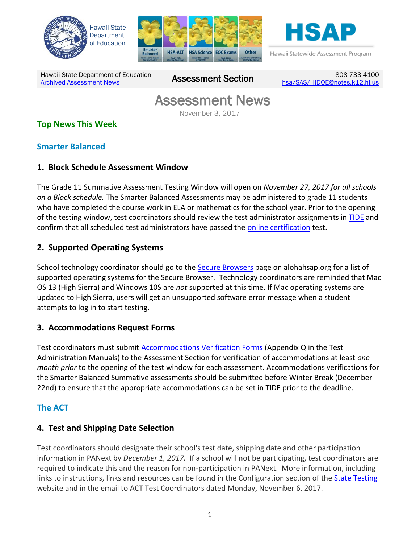





Hawaii Statewide Assessment Program

Hawaii State Department of Education Hawall State Department of Equitation<br>[Archived Assessment News](http://alohahsap.org/SMARTERBALANCED/resources/?section=8)

808-733-4100 [hsa/SAS/HIDOE@notes.k12.hi.us](mailto:hsa/SAS/HIDOE@notes.k12.hi.us)

# Assessment News

November 3, 2017

# **Top News This Week**

#### **Smarter Balanced**

#### **1. Block Schedule Assessment Window**

The Grade 11 Summative Assessment Testing Window will open on *November 27, 2017 for all schools on a Block schedule.* The Smarter Balanced Assessments may be administered to grade 11 students who have completed the course work in ELA or mathematics for the school year. Prior to the opening of the testing window, test coordinators should review the test administrator assignments in [TIDE](http://alohahsap.org/SMARTERBALANCED/test-administrators/) and confirm that all scheduled test administrators have passed the [online certification](http://alohahsap.org/SMARTERBALANCED/training-sites/) test.

# **2. Supported Operating Systems**

School technology coordinator should go to the [Secure Browsers](http://alohahsap.org/HSA/browsers/) page on alohahsap.org for a list of supported operating systems for the Secure Browser. Technology coordinators are reminded that Mac OS 13 (High Sierra) and Windows 10S are *not* supported at this time. If Mac operating systems are updated to High Sierra, users will get an unsupported software error message when a student attempts to log in to start testing.

# **3. Accommodations Request Forms**

Test coordinators must submit **Accommodations Verification Forms** (Appendix Q in the Test Administration Manuals) to the Assessment Section for verification of accommodations at least *one month prior* to the opening of the test window for each assessment. Accommodations verifications for the Smarter Balanced Summative assessments should be submitted before Winter Break (December 22nd) to ensure that the appropriate accommodations can be set in TIDE prior to the deadline.

# **The ACT**

# **4. Test and Shipping Date Selection**

Test coordinators should designate their school's test date, shipping date and other participation information in PANext by *December 1, 2017.* If a school will not be participating, test coordinators are required to indicate this and the reason for non-participation in PANext. More information, including links to instructions, links and resources can be found in the Configuration section of the [State Testing](http://www.act.org/content/act/en/products-and-services/state-and-district-solutions/hawaii.html) website and in the email to ACT Test Coordinators dated Monday, November 6, 2017.